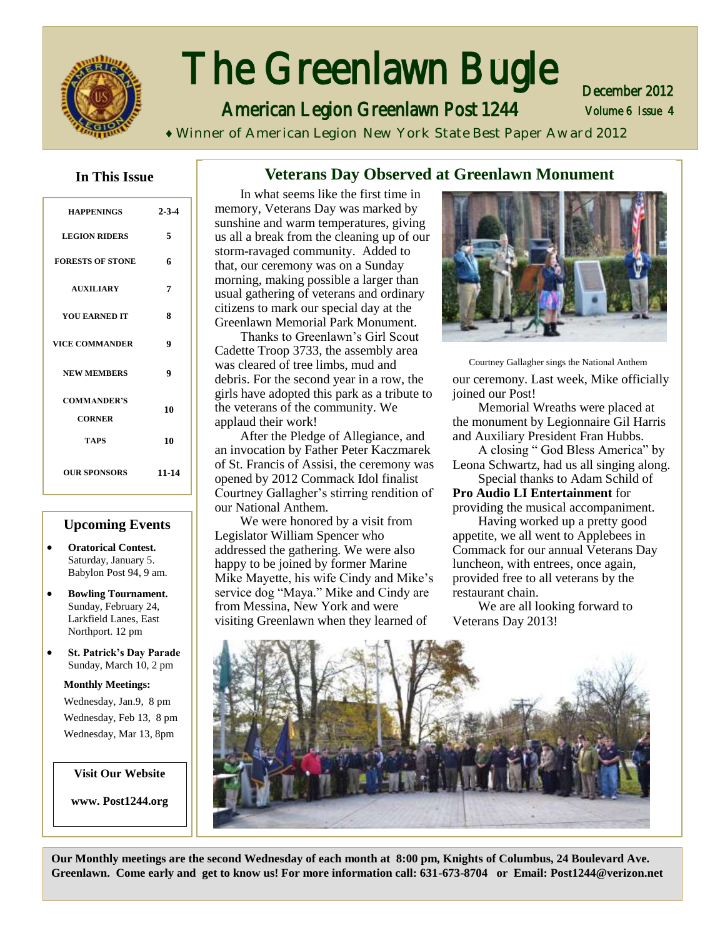

# The Greenlawn Bugle

American Legion Greenlawn Post 1244

Volume 6 Issue 4 December 2012

**♦** Winner of American Legion New York State Best Paper Award 2012

**Veterans Day Observed at Greenlawn Monument**

#### **In This Issue**

| <b>HAPPENINGS</b>                   | $2 - 3 - 4$ |
|-------------------------------------|-------------|
| <b>LEGION RIDERS</b>                | 5           |
| <b>FORESTS OF STONE</b>             | 6           |
| <b>AUXILIARY</b>                    | 7           |
| <b>YOU EARNED IT</b>                | 8           |
| <b>VICE COMMANDER</b>               | 9           |
| <b>NEW MEMBERS</b>                  | 9           |
| <b>COMMANDER'S</b><br><b>CORNER</b> | 10          |
| <b>TAPS</b>                         | 10          |
| <b>OUR SPONSORS</b>                 | 11-14       |

#### **Upcoming Events**

- **Oratorical Contest.**  Saturday, January 5. Babylon Post 94, 9 am.
- **Bowling Tournament.**  Sunday, February 24, Larkfield Lanes, East Northport. 12 pm
- **St. Patrick's Day Parade**  Sunday, March 10, 2 pm

**Monthly Meetings:**  Wednesday, Jan.9, 8 pm Wednesday, Feb 13, 8 pm Wednesday, Mar 13, 8pm

**Visit Our Website**

**www. Post1244.org** 

#### In what seems like the first time in memory, Veterans Day was marked by sunshine and warm temperatures, giving us all a break from the cleaning up of our storm-ravaged community. Added to that, our ceremony was on a Sunday morning, making possible a larger than usual gathering of veterans and ordinary citizens to mark our special day at the Greenlawn Memorial Park Monument.

Thanks to Greenlawn's Girl Scout Cadette Troop 3733, the assembly area was cleared of tree limbs, mud and debris. For the second year in a row, the girls have adopted this park as a tribute to the veterans of the community. We applaud their work!

After the Pledge of Allegiance, and an invocation by Father Peter Kaczmarek of St. Francis of Assisi, the ceremony was opened by 2012 Commack Idol finalist Courtney Gallagher's stirring rendition of our National Anthem.

We were honored by a visit from Legislator William Spencer who addressed the gathering. We were also happy to be joined by former Marine Mike Mayette, his wife Cindy and Mike's service dog "Maya." Mike and Cindy are from Messina, New York and were visiting Greenlawn when they learned of



our ceremony. Last week, Mike officially joined our Post! Courtney Gallagher sings the National Anthem

Memorial Wreaths were placed at the monument by Legionnaire Gil Harris and Auxiliary President Fran Hubbs.

A closing " God Bless America" by Leona Schwartz, had us all singing along.

Special thanks to Adam Schild of **Pro Audio LI Entertainment** for providing the musical accompaniment.

Having worked up a pretty good appetite, we all went to Applebees in Commack for our annual Veterans Day luncheon, with entrees, once again, provided free to all veterans by the restaurant chain.

We are all looking forward to Veterans Day 2013!



**Our Monthly meetings are the second Wednesday of each month at 8:00 pm, Knights of Columbus, 24 Boulevard Ave. Greenlawn. Come early and get to know us! For more information call: 631-673-8704 or Email: Post1244@verizon.net**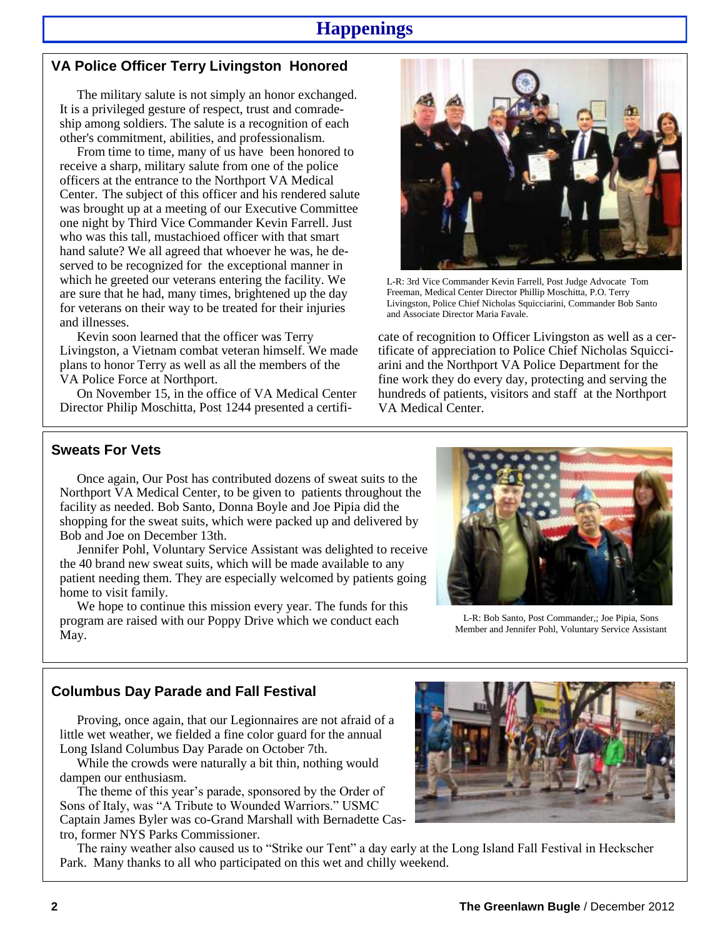### **Happenings**

#### **VA Police Officer Terry Livingston Honored**

The military salute is not simply an honor exchanged. It is a privileged gesture of respect, trust and comradeship among soldiers. The salute is a recognition of each other's commitment, abilities, and professionalism.

From time to time, many of us have been honored to receive a sharp, military salute from one of the police officers at the entrance to the Northport VA Medical Center. The subject of this officer and his rendered salute was brought up at a meeting of our Executive Committee one night by Third Vice Commander Kevin Farrell. Just who was this tall, mustachioed officer with that smart hand salute? We all agreed that whoever he was, he deserved to be recognized for the exceptional manner in which he greeted our veterans entering the facility. We are sure that he had, many times, brightened up the day for veterans on their way to be treated for their injuries and illnesses.

Kevin soon learned that the officer was Terry Livingston, a Vietnam combat veteran himself. We made plans to honor Terry as well as all the members of the VA Police Force at Northport.

On November 15, in the office of VA Medical Center Director Philip Moschitta, Post 1244 presented a certifi-



L-R: 3rd Vice Commander Kevin Farrell, Post Judge Advocate Tom Freeman, Medical Center Director Phillip Moschitta, P.O. Terry Livingston, Police Chief Nicholas Squicciarini, Commander Bob Santo and Associate Director Maria Favale.

cate of recognition to Officer Livingston as well as a certificate of appreciation to Police Chief Nicholas Squicciarini and the Northport VA Police Department for the fine work they do every day, protecting and serving the hundreds of patients, visitors and staff at the Northport VA Medical Center.

#### **Sweats For Vets**

Once again, Our Post has contributed dozens of sweat suits to the Northport VA Medical Center, to be given to patients throughout the facility as needed. Bob Santo, Donna Boyle and Joe Pipia did the shopping for the sweat suits, which were packed up and delivered by Bob and Joe on December 13th.

Jennifer Pohl, Voluntary Service Assistant was delighted to receive the 40 brand new sweat suits, which will be made available to any patient needing them. They are especially welcomed by patients going home to visit family.

We hope to continue this mission every year. The funds for this program are raised with our Poppy Drive which we conduct each May.



L-R: Bob Santo, Post Commander,; Joe Pipia, Sons Member and Jennifer Pohl, Voluntary Service Assistant

#### **Columbus Day Parade and Fall Festival**

Proving, once again, that our Legionnaires are not afraid of a little wet weather, we fielded a fine color guard for the annual Long Island Columbus Day Parade on October 7th.

While the crowds were naturally a bit thin, nothing would dampen our enthusiasm.

The theme of this year's parade, sponsored by the Order of Sons of Italy, was "A Tribute to Wounded Warriors." USMC Captain James Byler was co-Grand Marshall with Bernadette Castro, former NYS Parks Commissioner.

The rainy weather also caused us to "Strike our Tent" a day early at the Long Island Fall Festival in Heckscher Park. Many thanks to all who participated on this wet and chilly weekend.

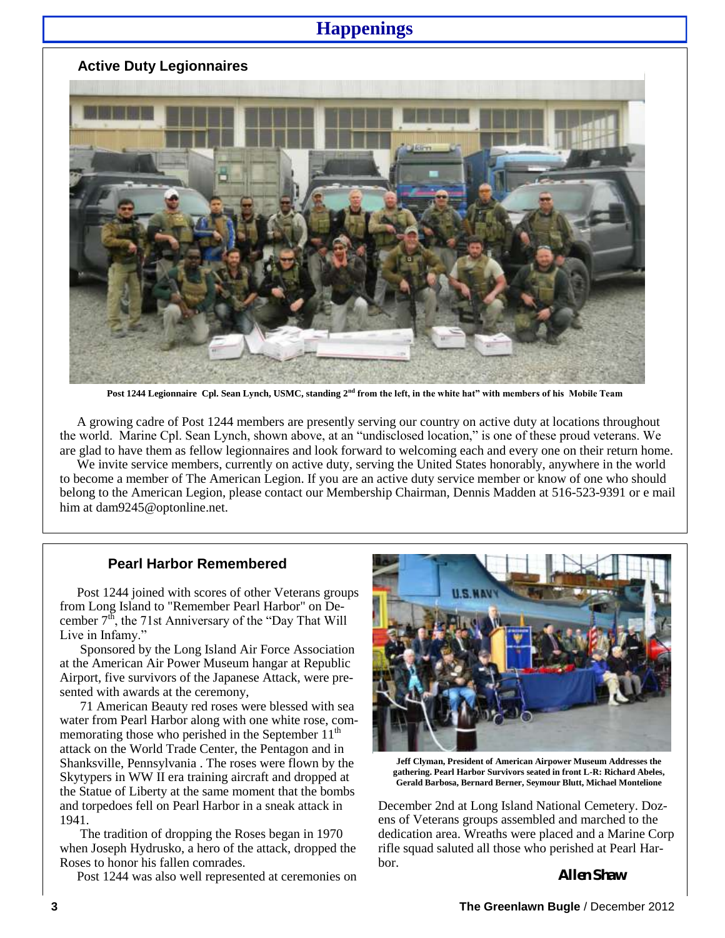### **Happenings**

#### **Active Duty Legionnaires**



Post 1244 Legionnaire Cpl. Sean Lynch, USMC, standing 2<sup>nd</sup> from the left, in the white hat" with members of his Mobile Team

A growing cadre of Post 1244 members are presently serving our country on active duty at locations throughout the world. Marine Cpl. Sean Lynch, shown above, at an "undisclosed location," is one of these proud veterans. We are glad to have them as fellow legionnaires and look forward to welcoming each and every one on their return home.

We invite service members, currently on active duty, serving the United States honorably, anywhere in the world to become a member of The American Legion. If you are an active duty service member or know of one who should belong to the American Legion, please contact our Membership Chairman, Dennis Madden at 516-523-9391 or e mail him at dam9245@optonline.net.

#### **Pearl Harbor Remembered**

Post 1244 joined with scores of other Veterans groups from Long Island to "Remember Pearl Harbor" on December  $7<sup>th</sup>$ , the 71st Anniversary of the "Day That Will" Live in Infamy."

Sponsored by the Long Island Air Force Association at the American Air Power Museum hangar at Republic Airport, five survivors of the Japanese Attack, were presented with awards at the ceremony,

71 American Beauty red roses were blessed with sea water from Pearl Harbor along with one white rose, commemorating those who perished in the September  $11<sup>th</sup>$ attack on the World Trade Center, the Pentagon and in Shanksville, Pennsylvania . The roses were flown by the Skytypers in WW II era training aircraft and dropped at the Statue of Liberty at the same moment that the bombs and torpedoes fell on Pearl Harbor in a sneak attack in 1941.

The tradition of dropping the Roses began in 1970 when Joseph Hydrusko, a hero of the attack, dropped the Roses to honor his fallen comrades.

Post 1244 was also well represented at ceremonies on



**Jeff Clyman, President of American Airpower Museum Addresses the gathering. Pearl Harbor Survivors seated in front L-R: Richard Abeles, Gerald Barbosa, Bernard Berner, Seymour Blutt, Michael Montelione**

December 2nd at Long Island National Cemetery. Dozens of Veterans groups assembled and marched to the dedication area. Wreaths were placed and a Marine Corp rifle squad saluted all those who perished at Pearl Harbor.

**Allen Shaw**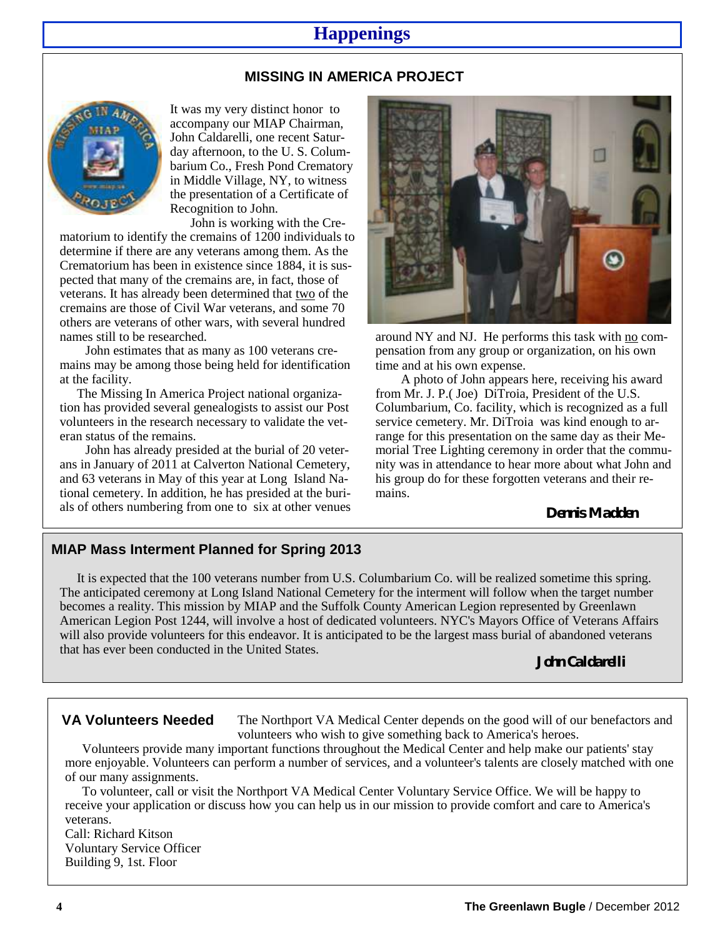## **Happenings**

#### **MISSING IN AMERICA PROJECT**



It was my very distinct honor to accompany our MIAP Chairman, John Caldarelli, one recent Saturday afternoon, to the U. S. Columbarium Co., Fresh Pond Crematory in Middle Village, NY, to witness the presentation of a Certificate of Recognition to John.

John is working with the Crematorium to identify the cremains of 1200 individuals to determine if there are any veterans among them. As the Crematorium has been in existence since 1884, it is suspected that many of the cremains are, in fact, those of veterans. It has already been determined that two of the cremains are those of Civil War veterans, and some 70 others are veterans of other wars, with several hundred names still to be researched.

John estimates that as many as 100 veterans cremains may be among those being held for identification at the facility.

The Missing In America Project national organization has provided several genealogists to assist our Post volunteers in the research necessary to validate the veteran status of the remains.

John has already presided at the burial of 20 veterans in January of 2011 at Calverton National Cemetery, and 63 veterans in May of this year at Long Island National cemetery. In addition, he has presided at the burials of others numbering from one to six at other venues



around NY and NJ. He performs this task with no compensation from any group or organization, on his own time and at his own expense.

A photo of John appears here, receiving his award from Mr. J. P.( Joe) DiTroia, President of the U.S. Columbarium, Co. facility, which is recognized as a full service cemetery. Mr. DiTroia was kind enough to arrange for this presentation on the same day as their Memorial Tree Lighting ceremony in order that the community was in attendance to hear more about what John and his group do for these forgotten veterans and their remains.

**Dennis Madden**

#### **MIAP Mass Interment Planned for Spring 2013**

It is expected that the 100 veterans number from U.S. Columbarium Co. will be realized sometime this spring. The anticipated ceremony at Long Island National Cemetery for the interment will follow when the target number becomes a reality. This mission by MIAP and the Suffolk County American Legion represented by Greenlawn American Legion Post 1244, will involve a host of dedicated volunteers. NYC's Mayors Office of Veterans Affairs will also provide volunteers for this endeavor. It is anticipated to be the largest mass burial of abandoned veterans that has ever been conducted in the United States.

**John Caldarelli**

#### **VA Volunteers Needed**

The Northport VA Medical Center depends on the good will of our benefactors and volunteers who wish to give something back to America's heroes.

Volunteers provide many important functions throughout the Medical Center and help make our patients' stay more enjoyable. Volunteers can perform a number of services, and a volunteer's talents are closely matched with one of our many assignments.

To volunteer, call or visit the Northport VA Medical Center Voluntary Service Office. We will be happy to receive your application or discuss how you can help us in our mission to provide comfort and care to America's veterans.

Call: Richard Kitson Voluntary Service Officer Building 9, 1st. Floor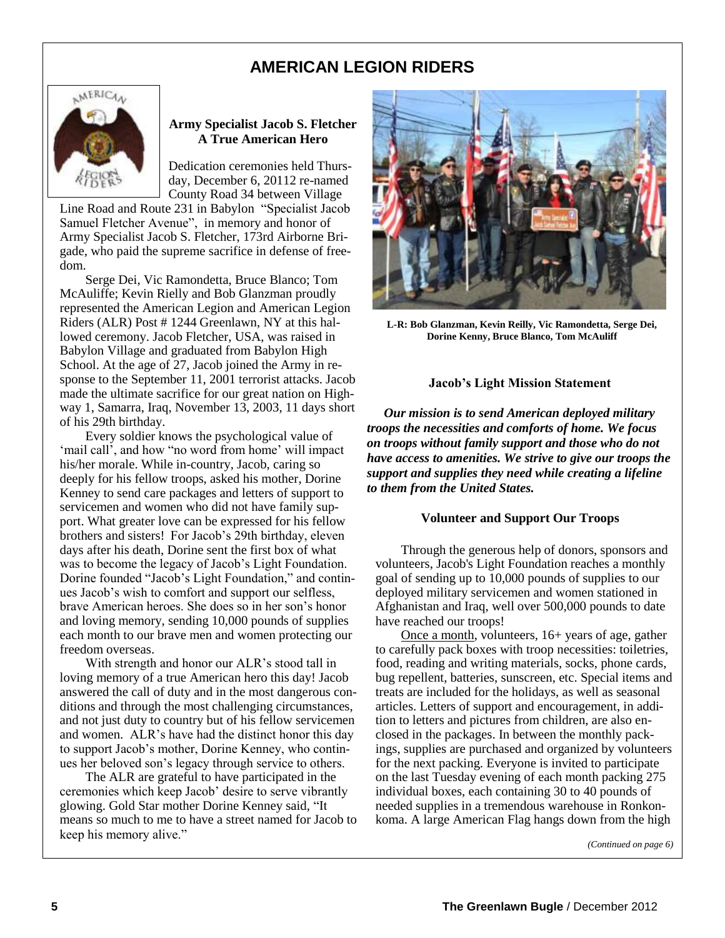### **AMERICAN LEGION RIDERS**



#### **Army Specialist Jacob S. Fletcher A True American Hero**

Dedication ceremonies held Thursday, December 6, 20112 re-named County Road 34 between Village

Line Road and Route 231 in Babylon "Specialist Jacob Samuel Fletcher Avenue", in memory and honor of Army Specialist Jacob S. Fletcher, 173rd Airborne Brigade, who paid the supreme sacrifice in defense of freedom.

Serge Dei, Vic Ramondetta, Bruce Blanco; Tom McAuliffe; Kevin Rielly and Bob Glanzman proudly represented the American Legion and American Legion Riders (ALR) Post # 1244 Greenlawn, NY at this hallowed ceremony. Jacob Fletcher, USA, was raised in Babylon Village and graduated from Babylon High School. At the age of 27, Jacob joined the Army in response to the September 11, 2001 terrorist attacks. Jacob made the ultimate sacrifice for our great nation on Highway 1, Samarra, Iraq, November 13, 2003, 11 days short of his 29th birthday.

Every soldier knows the psychological value of 'mail call', and how "no word from home' will impact his/her morale. While in-country, Jacob, caring so deeply for his fellow troops, asked his mother, Dorine Kenney to send care packages and letters of support to servicemen and women who did not have family support. What greater love can be expressed for his fellow brothers and sisters! For Jacob's 29th birthday, eleven days after his death, Dorine sent the first box of what was to become the legacy of Jacob's Light Foundation. Dorine founded "Jacob's Light Foundation," and continues Jacob's wish to comfort and support our selfless, brave American heroes. She does so in her son's honor and loving memory, sending 10,000 pounds of supplies each month to our brave men and women protecting our freedom overseas.

With strength and honor our ALR's stood tall in loving memory of a true American hero this day! Jacob answered the call of duty and in the most dangerous conditions and through the most challenging circumstances, and not just duty to country but of his fellow servicemen and women. ALR's have had the distinct honor this day to support Jacob's mother, Dorine Kenney, who continues her beloved son's legacy through service to others.

The ALR are grateful to have participated in the ceremonies which keep Jacob' desire to serve vibrantly glowing. Gold Star mother Dorine Kenney said, "It means so much to me to have a street named for Jacob to keep his memory alive."



**L-R: Bob Glanzman, Kevin Reilly, Vic Ramondetta, Serge Dei, Dorine Kenny, Bruce Blanco, Tom McAuliff**

#### **Jacob's Light Mission Statement**

*Our mission is to send American deployed military troops the necessities and comforts of home. We focus on troops without family support and those who do not have access to amenities. We strive to give our troops the support and supplies they need while creating a lifeline to them from the United States.*

#### **Volunteer and Support Our Troops**

Through the generous help of donors, [sponsors a](http://jacobsprogram.org/AboutUs/OurSponsorsSupporters.aspx)nd volunteers, Jacob's Light Foundation reaches a monthly goal of sending up to 10,000 pounds of supplies to our deployed military servicemen and women stationed in Afghanistan and Iraq, well over 500,000 pounds to date have reached our troops!

[Once a month,](http://jacobsprogram.org/NewsEvents.aspx) volunteers, 16+ years of age, gather to carefully pack boxes with troop necessities: toiletries, food, reading and writing materials, socks, phone cards, bug repellent, batteries, sunscreen, etc. Special items and treats are included for the holidays, as well as seasonal articles. Letters of support and encouragement, in addition to letters and pictures from children, are also enclosed in the packages. In between the monthly packings, supplies are purchased and organized by volunteers for the next packing. Everyone is invited to participate on the last Tuesday evening of each month packing 275 individual boxes, each containing 30 to 40 pounds of needed supplies in a tremendous warehouse in Ronkonkoma. A large American Flag hangs down from the high

*(Continued on page 6)*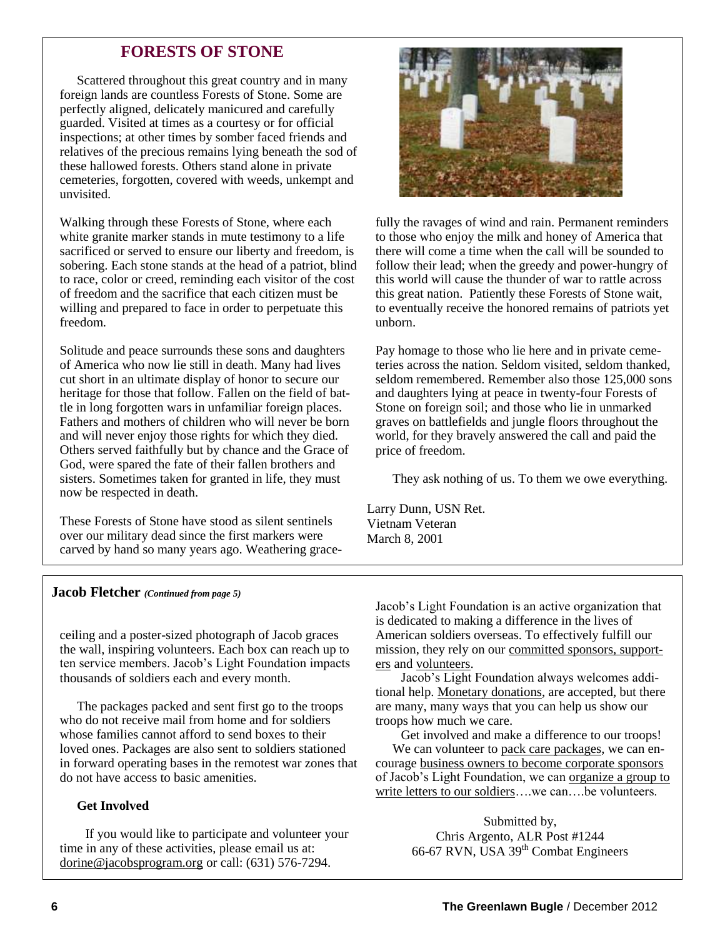#### **FORESTS OF STONE**

Scattered throughout this great country and in many foreign lands are countless Forests of Stone. Some are perfectly aligned, delicately manicured and carefully guarded. Visited at times as a courtesy or for official inspections; at other times by somber faced friends and relatives of the precious remains lying beneath the sod of these hallowed forests. Others stand alone in private cemeteries, forgotten, covered with weeds, unkempt and unvisited.

Walking through these Forests of Stone, where each white granite marker stands in mute testimony to a life sacrificed or served to ensure our liberty and freedom, is sobering. Each stone stands at the head of a patriot, blind to race, color or creed, reminding each visitor of the cost of freedom and the sacrifice that each citizen must be willing and prepared to face in order to perpetuate this freedom.

Solitude and peace surrounds these sons and daughters of America who now lie still in death. Many had lives cut short in an ultimate display of honor to secure our heritage for those that follow. Fallen on the field of battle in long forgotten wars in unfamiliar foreign places. Fathers and mothers of children who will never be born and will never enjoy those rights for which they died. Others served faithfully but by chance and the Grace of God, were spared the fate of their fallen brothers and sisters. Sometimes taken for granted in life, they must now be respected in death.

These Forests of Stone have stood as silent sentinels over our military dead since the first markers were carved by hand so many years ago. Weathering grace-



fully the ravages of wind and rain. Permanent reminders to those who enjoy the milk and honey of America that there will come a time when the call will be sounded to follow their lead; when the greedy and power-hungry of this world will cause the thunder of war to rattle across this great nation. Patiently these Forests of Stone wait, to eventually receive the honored remains of patriots yet unborn.

Pay homage to those who lie here and in private cemeteries across the nation. Seldom visited, seldom thanked, seldom remembered. Remember also those 125,000 sons and daughters lying at peace in twenty-four Forests of Stone on foreign soil; and those who lie in unmarked graves on battlefields and jungle floors throughout the world, for they bravely answered the call and paid the price of freedom.

They ask nothing of us. To them we owe everything.

Larry Dunn, USN Ret. Vietnam Veteran March 8, 2001

#### **Jacob Fletcher** *(Continued from page 5)*

ceiling and a poster-sized photograph of Jacob graces the wall, inspiring volunteers. Each box can reach up to ten service members. Jacob's Light Foundation impacts thousands of soldiers each and every month.

The packages packed and sent first go to the troops who do not receive mail from home and for soldiers whose families cannot afford to send boxes to their loved ones. Packages are also sent to soldiers stationed in forward operating bases in the remotest war zones that do not have access to basic amenities.

#### **Get Involved**

If you would like to participate and volunteer your time in any of these activities, please email us at: [dorine@jacobsprogram.org](mailto:dorine@jacobsprogram.org) or call: (631) 576-7294.

Jacob's Light Foundation is an active organization that is dedicated to making a difference in the lives of American soldiers overseas. To effectively fulfill our mission, they rely on our [committed sponsors, support](http://jacobsprogram.org/AboutUs/OurSponsorsSupporters.aspx)[ers](http://jacobsprogram.org/AboutUs/OurSponsorsSupporters.aspx) and [volunteers.](http://jacobsprogram.org/GetInvolved/VolunteerOpportunities.aspx)

Jacob's Light Foundation always welcomes additional help. [Monetary donations,](http://jacobsprogram.org/GetInvolved/MakeaMonetaryDonation.aspx) are accepted, but there are many, many ways that you can help us show our troops how much we care.

Get involved and make a difference to our troops! We can volunteer to [pack care packages,](http://jacobsprogram.org/GetInvolved/PackingfortheTroops.aspx) we can encourage [business owners to become corporate sponsors](http://jacobsprogram.org/GetInvolved/BecomeaSponsorSupporter.aspx) of Jacob's Light Foundation, we can [organize a group to](http://jacobsprogram.org/GetInvolved/BeginaLetterWritingCampaign.aspx)  write letters to our soldiers... we can... be volunteers.

> Submitted by, Chris Argento, ALR Post #1244 66-67 RVN, USA 39<sup>th</sup> Combat Engineers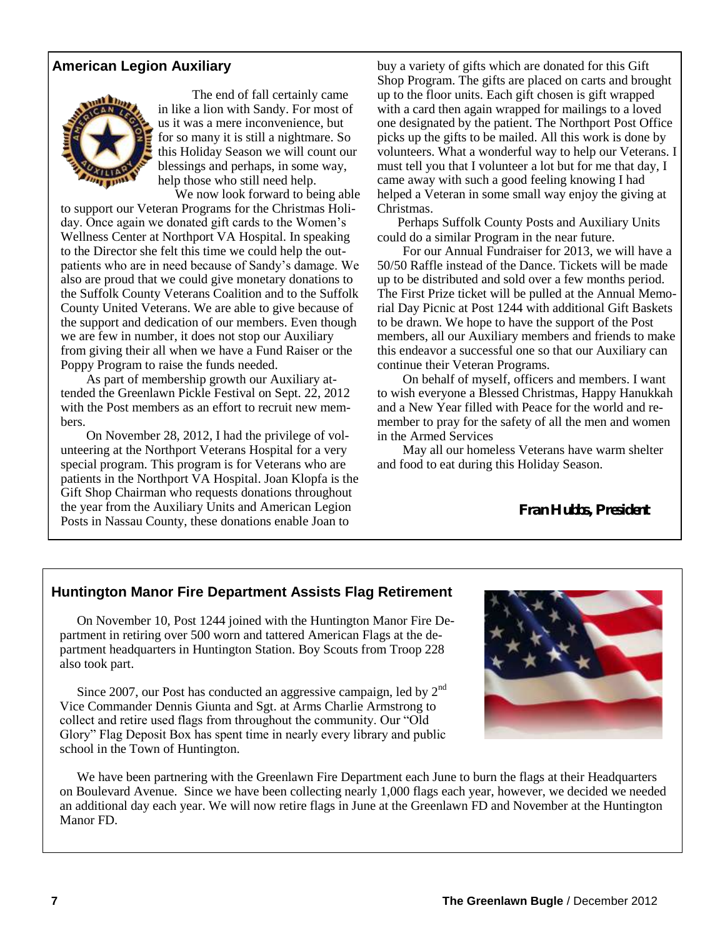#### **American Legion Auxiliary**



The end of fall certainly came in like a lion with Sandy. For most of us it was a mere inconvenience, but for so many it is still a nightmare. So this Holiday Season we will count our blessings and perhaps, in some way, help those who still need help.

We now look forward to being able to support our Veteran Programs for the Christmas Holiday. Once again we donated gift cards to the Women's Wellness Center at Northport VA Hospital. In speaking to the Director she felt this time we could help the outpatients who are in need because of Sandy's damage. We also are proud that we could give monetary donations to the Suffolk County Veterans Coalition and to the Suffolk County United Veterans. We are able to give because of the support and dedication of our members. Even though we are few in number, it does not stop our Auxiliary from giving their all when we have a Fund Raiser or the Poppy Program to raise the funds needed.

As part of membership growth our Auxiliary attended the Greenlawn Pickle Festival on Sept. 22, 2012 with the Post members as an effort to recruit new members.

On November 28, 2012, I had the privilege of volunteering at the Northport Veterans Hospital for a very special program. This program is for Veterans who are patients in the Northport VA Hospital. Joan Klopfa is the Gift Shop Chairman who requests donations throughout the year from the Auxiliary Units and American Legion Posts in Nassau County, these donations enable Joan to

buy a variety of gifts which are donated for this Gift Shop Program. The gifts are placed on carts and brought up to the floor units. Each gift chosen is gift wrapped with a card then again wrapped for mailings to a loved one designated by the patient. The Northport Post Office picks up the gifts to be mailed. All this work is done by volunteers. What a wonderful way to help our Veterans. I must tell you that I volunteer a lot but for me that day, I came away with such a good feeling knowing I had helped a Veteran in some small way enjoy the giving at Christmas.

Perhaps Suffolk County Posts and Auxiliary Units could do a similar Program in the near future.

For our Annual Fundraiser for 2013, we will have a 50/50 Raffle instead of the Dance. Tickets will be made up to be distributed and sold over a few months period. The First Prize ticket will be pulled at the Annual Memorial Day Picnic at Post 1244 with additional Gift Baskets to be drawn. We hope to have the support of the Post members, all our Auxiliary members and friends to make this endeavor a successful one so that our Auxiliary can continue their Veteran Programs.

On behalf of myself, officers and members. I want to wish everyone a Blessed Christmas, Happy Hanukkah and a New Year filled with Peace for the world and remember to pray for the safety of all the men and women in the Armed Services

May all our homeless Veterans have warm shelter and food to eat during this Holiday Season.

**Fran Hubbs, President**

#### **Huntington Manor Fire Department Assists Flag Retirement**

On November 10, Post 1244 joined with the Huntington Manor Fire Department in retiring over 500 worn and tattered American Flags at the department headquarters in Huntington Station. Boy Scouts from Troop 228 also took part.

Since 2007, our Post has conducted an aggressive campaign, led by  $2<sup>nd</sup>$ Vice Commander Dennis Giunta and Sgt. at Arms Charlie Armstrong to collect and retire used flags from throughout the community. Our "Old Glory" Flag Deposit Box has spent time in nearly every library and public school in the Town of Huntington.



We have been partnering with the Greenlawn Fire Department each June to burn the flags at their Headquarters on Boulevard Avenue. Since we have been collecting nearly 1,000 flags each year, however, we decided we needed an additional day each year. We will now retire flags in June at the Greenlawn FD and November at the Huntington Manor FD.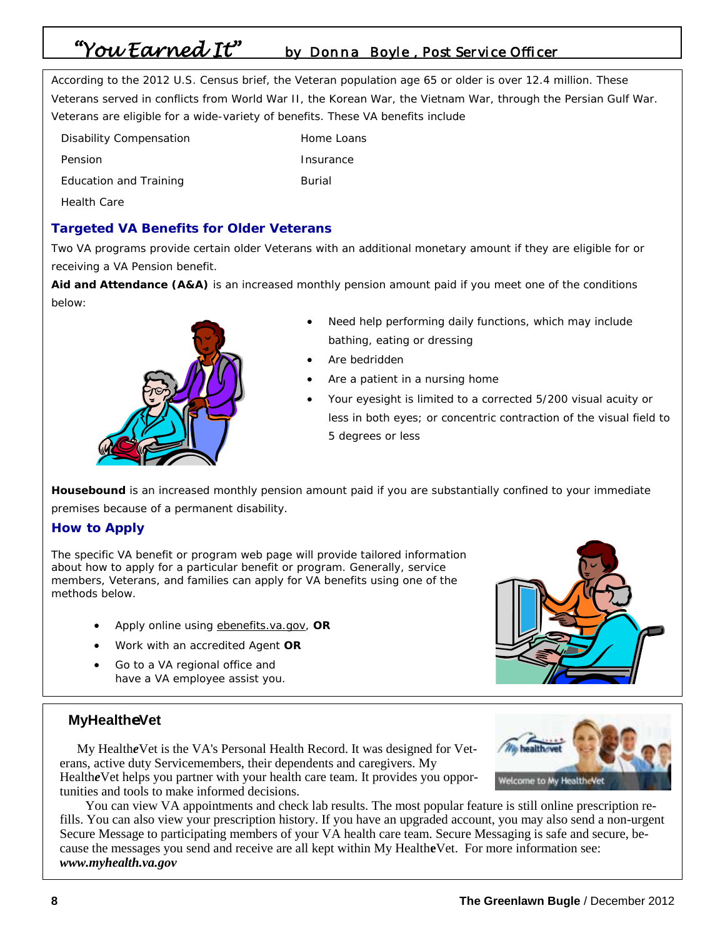# *"You Earned It" by Donna Boyle , Post Service Officer*

According to the 2012 U.S. Census brief, the Veteran population age 65 or older is over 12.4 million. These Veterans served in conflicts from World War II, the Korean War, the Vietnam War, through the Persian Gulf War. Veterans are eligible for a wide-variety of benefits. These VA benefits include

| <b>Disability Compensation</b> | Home Loans |
|--------------------------------|------------|
| Pension                        | Insurance  |
| Education and Training         | Burial     |
| <b>Health Care</b>             |            |

#### **Targeted VA Benefits for Older Veterans**

Two VA programs provide certain older Veterans with an additional monetary amount if they are eligible for or receiving a VA Pension benefit.

**Aid and Attendance (A&A)** is an increased monthly pension amount paid if you meet one of the conditions below:



- Need help performing daily functions, which may include bathing, eating or dressing
- Are bedridden
- Are a patient in a nursing home
- Your eyesight is limited to a corrected 5/200 visual acuity or less in both eyes; or concentric contraction of the visual field to 5 degrees or less

**Housebound** is an increased monthly pension amount paid if you are substantially confined to your immediate premises because of a permanent disability.

#### **How to Apply**

The specific VA benefit or program web page will provide tailored information about how to apply for a particular benefit or program. Generally, service members, Veterans, and families can apply for VA benefits using one of the methods below.

- Apply online using ebenefits.va.gov, **OR**
- Work with an accredited Agent **OR**
- Go to a VA regional office and have a VA employee assist you.



#### **MyHealtheVet**

My Health*e*Vet is the VA's Personal Health Record. It was designed for Veterans, active duty Servicemembers, their dependents and caregivers. My Health*e*Vet helps you partner with your health care team. It provides you opportunities and tools to make informed decisions.



You can view VA appointments and check lab results. The most popular feature is still online prescription refills. You can also view your prescription history. If you have an upgraded account, you may also send a non-urgent Secure Message to participating members of your VA health care team. Secure Messaging is safe and secure, because the messages you send and receive are all kept within My Health**e**Vet. For more information see: *www.myhealth.va.gov*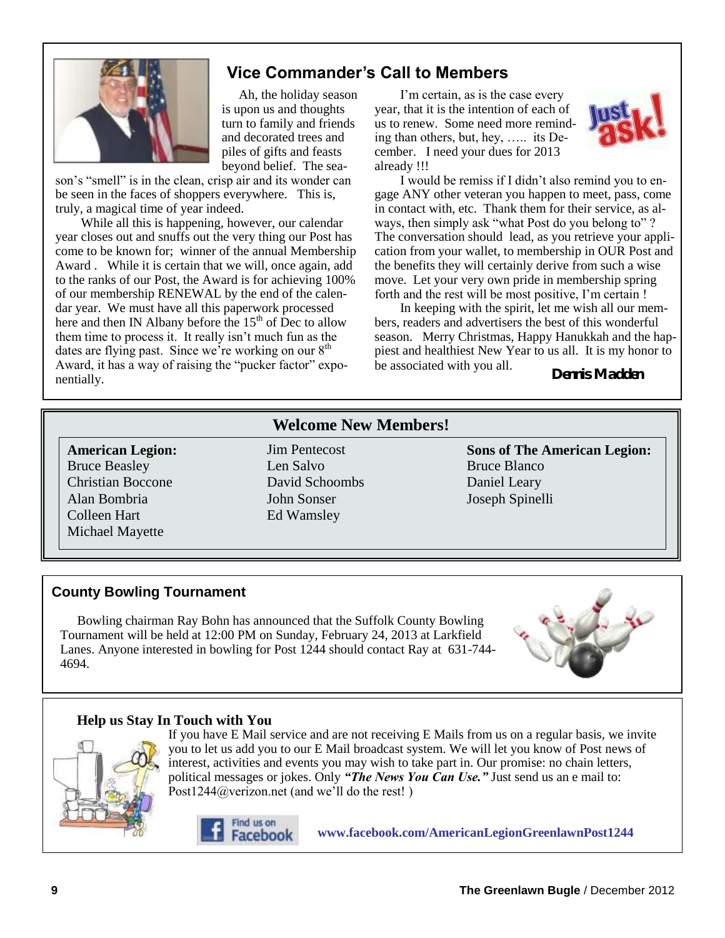

### **Vice Commander's Call to Members**

Ah, the holiday season is upon us and thoughts turn to family and friends and decorated trees and piles of gifts and feasts beyond belief. The sea-

son's "smell" is in the clean, crisp air and its wonder can be seen in the faces of shoppers everywhere. This is, truly, a magical time of year indeed.

While all this is happening, however, our calendar year closes out and snuffs out the very thing our Post has come to be known for; winner of the annual Membership Award . While it is certain that we will, once again, add to the ranks of our Post, the Award is for achieving 100% of our membership RENEWAL by the end of the calendar year. We must have all this paperwork processed here and then IN Albany before the 15<sup>th</sup> of Dec to allow them time to process it. It really isn't much fun as the dates are flying past. Since we're working on our  $8<sup>th</sup>$ Award, it has a way of raising the "pucker factor" exponentially.

I'm certain, as is the case every year, that it is the intention of each of us to renew. Some need more reminding than others, but, hey, ….. its December. I need your dues for 2013 already !!!



I would be remiss if I didn't also remind you to engage ANY other veteran you happen to meet, pass, come in contact with, etc. Thank them for their service, as always, then simply ask "what Post do you belong to" ? The conversation should lead, as you retrieve your application from your wallet, to membership in OUR Post and the benefits they will certainly derive from such a wise move. Let your very own pride in membership spring forth and the rest will be most positive, I'm certain !

In keeping with the spirit, let me wish all our members, readers and advertisers the best of this wonderful season. Merry Christmas, Happy Hanukkah and the happiest and healthiest New Year to us all. It is my honor to be associated with you all.

**Dennis Madden**

#### **American Legion:** Bruce Beasley Christian Boccone Alan Bombria Colleen Hart Michael Mayette

**Welcome New Members!**

Jim Pentecost Len Salvo David Schoombs John Sonser Ed Wamsley

**Sons of The American Legion:** Bruce Blanco Daniel Leary Joseph Spinelli

### **County Bowling Tournament**

Bowling chairman Ray Bohn has announced that the Suffolk County Bowling Tournament will be held at 12:00 PM on Sunday, February 24, 2013 at Larkfield Lanes. Anyone interested in bowling for Post 1244 should contact Ray at 631-744- 4694.



#### **Help us Stay In Touch with You**



If you have E Mail service and are not receiving E Mails from us on a regular basis, we invite you to let us add you to our E Mail broadcast system. We will let you know of Post news of interest, activities and events you may wish to take part in. Our promise: no chain letters, political messages or jokes. Only *"The News You Can Use."* Just send us an e mail to: Post1244@verizon.net (and we'll do the rest!)



**www.facebook.com/AmericanLegionGreenlawnPost1244**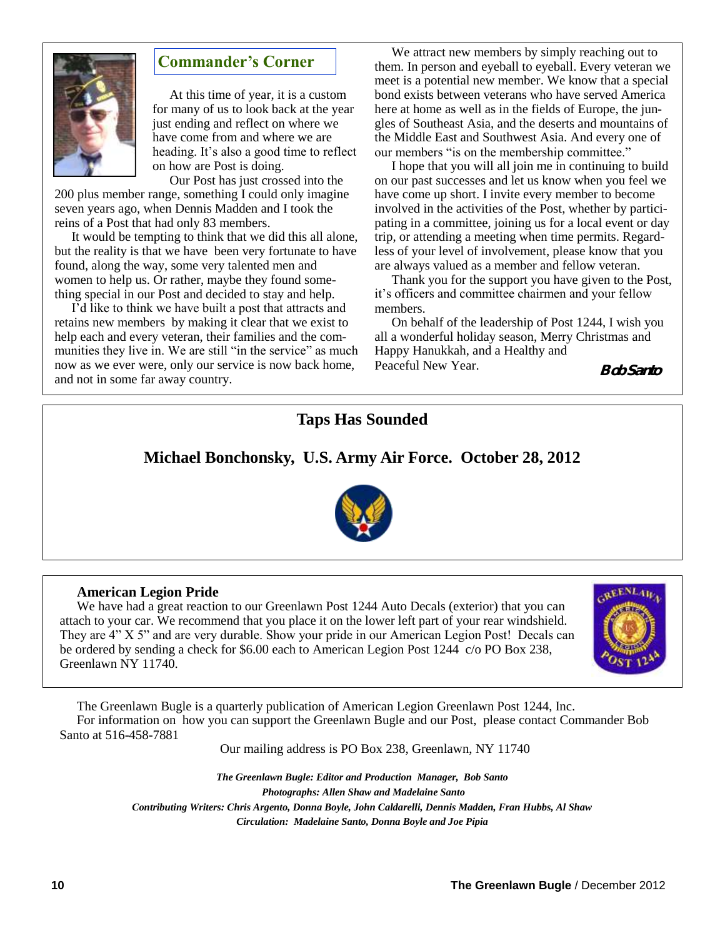

#### **Commander's Corner**

At this time of year, it is a custom for many of us to look back at the year just ending and reflect on where we have come from and where we are heading. It's also a good time to reflect on how are Post is doing.

Our Post has just crossed into the 200 plus member range, something I could only imagine seven years ago, when Dennis Madden and I took the reins of a Post that had only 83 members.

It would be tempting to think that we did this all alone, but the reality is that we have been very fortunate to have found, along the way, some very talented men and women to help us. Or rather, maybe they found something special in our Post and decided to stay and help.

I'd like to think we have built a post that attracts and retains new members by making it clear that we exist to help each and every veteran, their families and the communities they live in. We are still "in the service" as much now as we ever were, only our service is now back home, and not in some far away country.

We attract new members by simply reaching out to them. In person and eyeball to eyeball. Every veteran we meet is a potential new member. We know that a special bond exists between veterans who have served America here at home as well as in the fields of Europe, the jungles of Southeast Asia, and the deserts and mountains of the Middle East and Southwest Asia. And every one of our members "is on the membership committee."

I hope that you will all join me in continuing to build on our past successes and let us know when you feel we have come up short. I invite every member to become involved in the activities of the Post, whether by participating in a committee, joining us for a local event or day trip, or attending a meeting when time permits. Regardless of your level of involvement, please know that you are always valued as a member and fellow veteran.

Thank you for the support you have given to the Post, it's officers and committee chairmen and your fellow members.

On behalf of the leadership of Post 1244, I wish you all a wonderful holiday season, Merry Christmas and Happy Hanukkah, and a Healthy and Peaceful New Year. **Bob Santo** 



#### **American Legion Pride**

We have had a great reaction to our Greenlawn Post 1244 Auto Decals (exterior) that you can attach to your car. We recommend that you place it on the lower left part of your rear windshield. They are 4" X 5" and are very durable. Show your pride in our American Legion Post! Decals can be ordered by sending a check for \$6.00 each to American Legion Post 1244 c/o PO Box 238, Greenlawn NY 11740.



The Greenlawn Bugle is a quarterly publication of American Legion Greenlawn Post 1244, Inc. For information on how you can support the Greenlawn Bugle and our Post, please contact Commander Bob Santo at 516-458-7881

Our mailing address is PO Box 238, Greenlawn, NY 11740

*The Greenlawn Bugle: Editor and Production Manager, Bob Santo Photographs: Allen Shaw and Madelaine Santo Contributing Writers: Chris Argento, Donna Boyle, John Caldarelli, Dennis Madden, Fran Hubbs, Al Shaw Circulation: Madelaine Santo, Donna Boyle and Joe Pipia*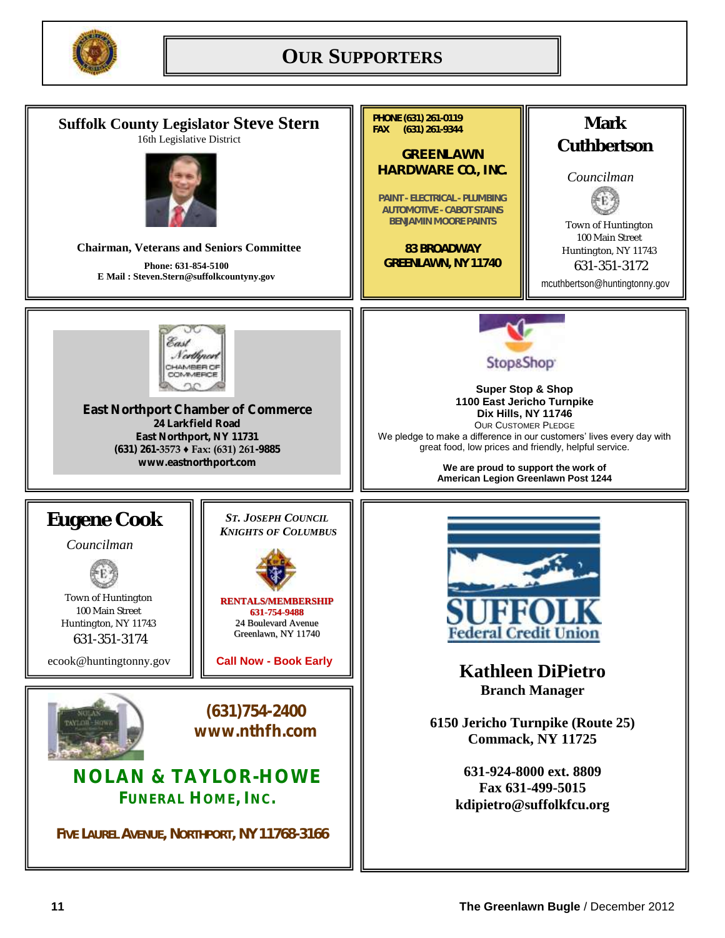

# **OUR SUPPORTERS**

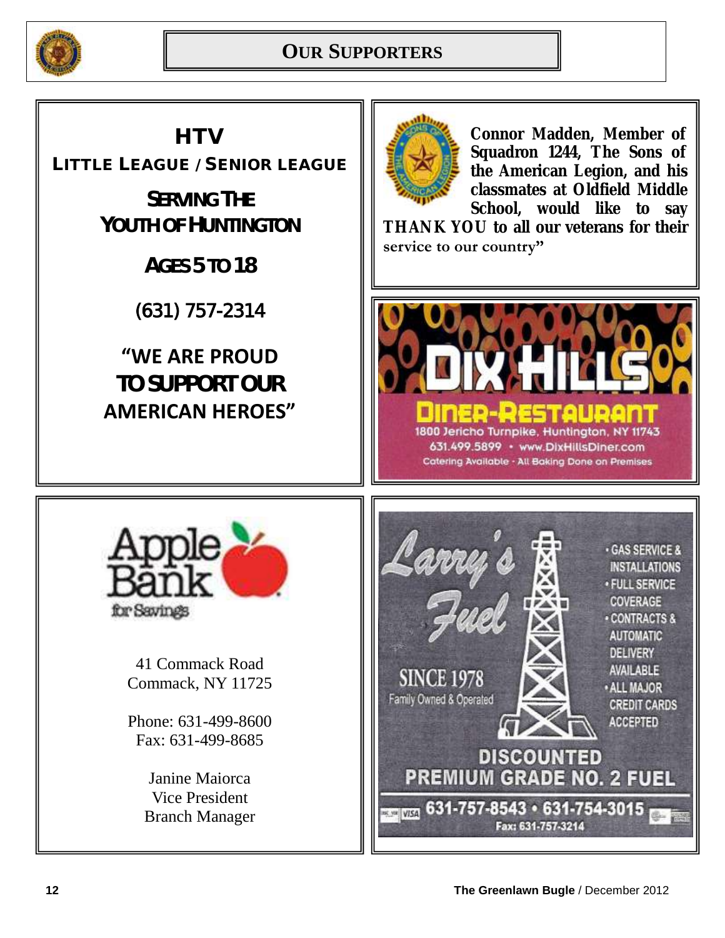

# **HTV**

LITTLE LEAGUE / SENIOR LEAGUE

**SERVING THE YOUTH OF HUNTINGTON**

**AGES 5 TO 18**

(631) 757-2314

# **"WE ARE PROUD TO SUPPORT OUR AMERICAN HEROES"**



**Connor Madden, Member of Squadron 1244, The Sons of the American Legion, and his classmates at Oldfield Middle School, would like to say** 

**THANK YOU to all our veterans for their service to our country"** 





41 Commack Road Commack, NY 11725

Phone: 631-499-8600 Fax: 631-499-8685

> Janine Maiorca Vice President Branch Manager

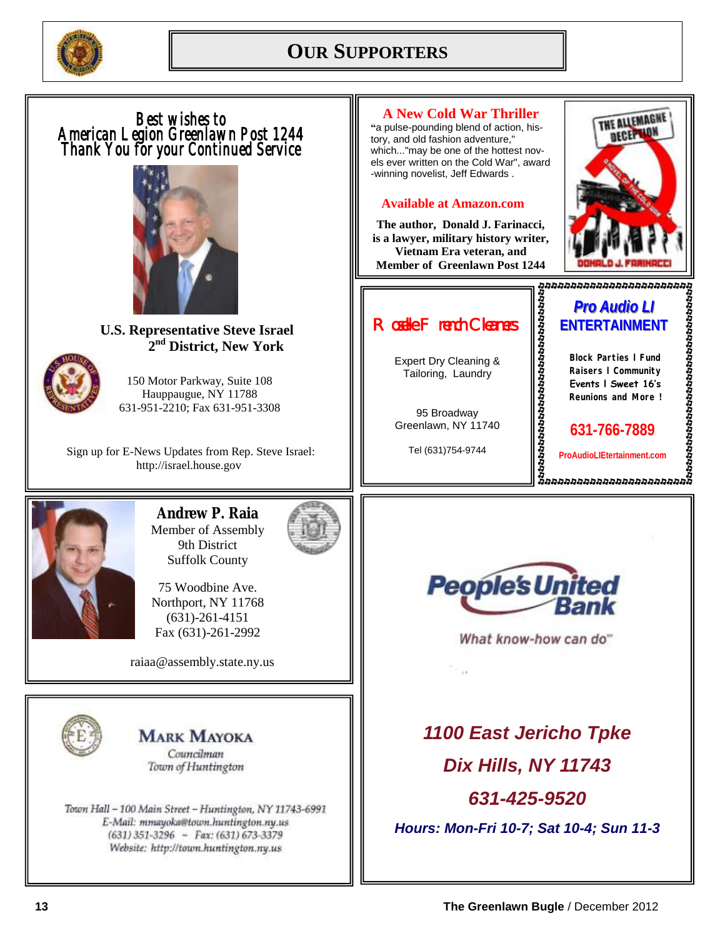

# **OUR SUPPORTERS**

**A New Cold War Thriller**  THE ALLEMAGNE *Best wishes to*  **"**a pulse-pounding blend of action, his-*American Legion Greenlawn Post 1244*  tory, and old fashion adventure," *Thank You for your Continued Service*  which..."may be one of the hottest novels ever written on the Cold War", award -winning novelist, Jeff Edwards . **Available at Amazon.com The author, Donald J. Farinacci, is a lawyer, military history writer, Vietnam Era veteran, and Member of Greenlawn Post 1244** *Pro Audio LI Roselle French Cleaners*  **ENTERTAINMENT U.S. Representative Steve Israel 2 nd District, New York Block Parties l Fund**  Expert Dry Cleaning & Tailoring, Laundry **Raisers l Community**  150 Motor Parkway, Suite 108 **Events l Sweet 16's**  Hauppaugue, NY 11788 **Reunions and More !** 631-951-2210; Fax 631-951-3308 95 Broadway Greenlawn, NY 11740 **631-766-7889**  Tel (631)754-9744 Sign up for E-News Updates from Rep. Steve Israel: **ProAudioLIEtertainment.com**http://israel.house.gov **Andrew P. Raia** Member of Assembly 9th District Suffolk County **People's United** 75 Woodbine Ave. Northport, NY 11768 (631)-261-4151 Fax (631)-261-2992 What know-how can do" raiaa@assembly.state.ny.us *1100 East Jericho Tpke* **MARK MAYOKA** Councilman *Dix Hills, NY 11743* Town of Huntington *631-425-9520* Town Hall - 100 Main Street - Huntington, NY 11743-6991 E-Mail: mmayoka@town.huntington.ny.us *Hours: Mon-Fri 10-7; Sat 10-4; Sun 11-3*   $(631)$  351-3296 - Fax: (631) 673-3379 Website: http://town.huntington.ny.us

**DECEPTION**